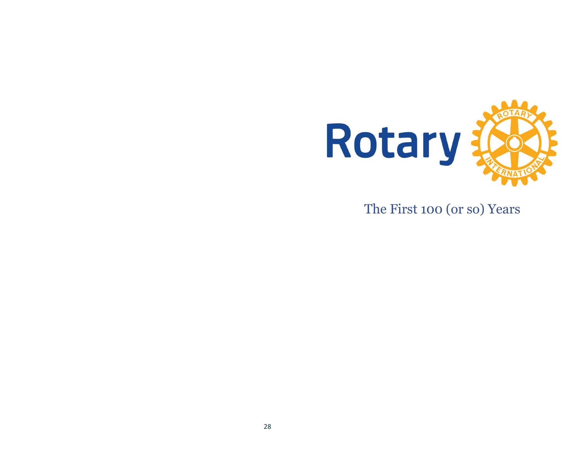

The First 100 (or so) Years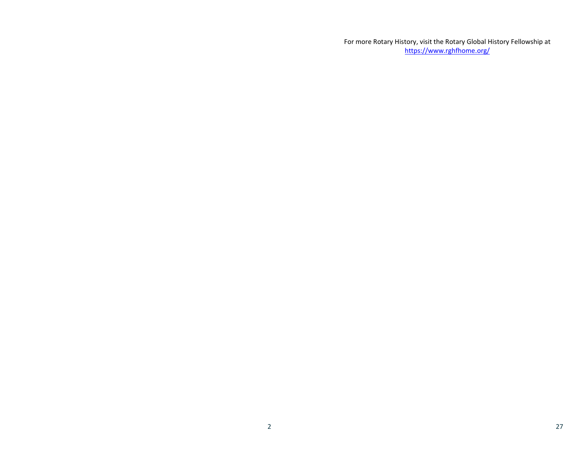For more Rotary History, visit the Rotary Global History Fellowship at https://www.rghfhome.org/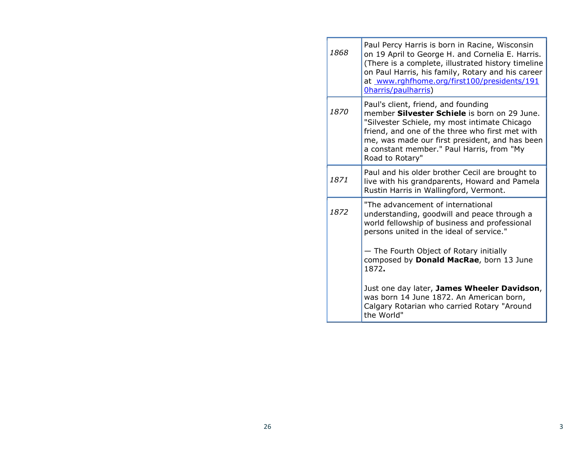| 1868 | Paul Percy Harris is born in Racine, Wisconsin<br>on 19 April to George H. and Cornelia E. Harris.<br>(There is a complete, illustrated history timeline<br>on Paul Harris, his family, Rotary and his career<br>at www.rghfhome.org/first100/presidents/191<br>Oharris/paulharris)                      |
|------|----------------------------------------------------------------------------------------------------------------------------------------------------------------------------------------------------------------------------------------------------------------------------------------------------------|
| 1870 | Paul's client, friend, and founding<br>member Silvester Schiele is born on 29 June.<br>"Silvester Schiele, my most intimate Chicago<br>friend, and one of the three who first met with<br>me, was made our first president, and has been<br>a constant member." Paul Harris, from "My<br>Road to Rotary" |
| 1871 | Paul and his older brother Cecil are brought to<br>live with his grandparents, Howard and Pamela<br>Rustin Harris in Wallingford, Vermont.                                                                                                                                                               |
| 1872 | "The advancement of international<br>understanding, goodwill and peace through a<br>world fellowship of business and professional<br>persons united in the ideal of service."<br>- The Fourth Object of Rotary initially<br>composed by Donald MacRae, born 13 June<br>1872.                             |
|      | Just one day later, James Wheeler Davidson,<br>was born 14 June 1872. An American born,<br>Calgary Rotarian who carried Rotary "Around<br>the World"                                                                                                                                                     |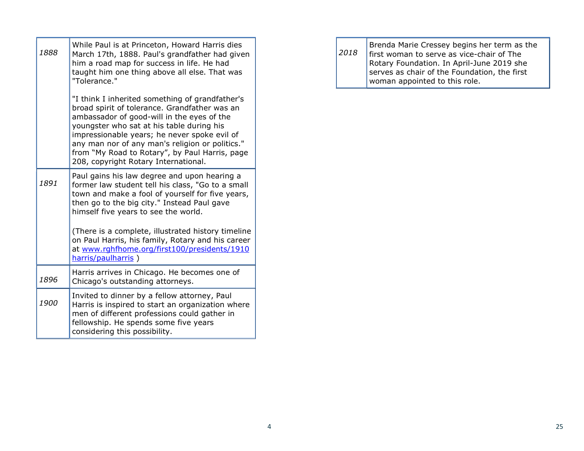| 1888 | While Paul is at Princeton, Howard Harris dies<br>March 17th, 1888. Paul's grandfather had given<br>him a road map for success in life. He had<br>taught him one thing above all else. That was<br>"Tolerance."                                                                                                                                                                          |
|------|------------------------------------------------------------------------------------------------------------------------------------------------------------------------------------------------------------------------------------------------------------------------------------------------------------------------------------------------------------------------------------------|
|      | "I think I inherited something of grandfather's<br>broad spirit of tolerance. Grandfather was an<br>ambassador of good-will in the eyes of the<br>youngster who sat at his table during his<br>impressionable years; he never spoke evil of<br>any man nor of any man's religion or politics."<br>from "My Road to Rotary", by Paul Harris, page<br>208, copyright Rotary International. |
| 1891 | Paul gains his law degree and upon hearing a<br>former law student tell his class, "Go to a small<br>town and make a fool of yourself for five years,<br>then go to the big city." Instead Paul gave<br>himself five years to see the world.                                                                                                                                             |
|      | (There is a complete, illustrated history timeline<br>on Paul Harris, his family, Rotary and his career<br>at www.rghfhome.org/first100/presidents/1910<br>harris/paulharris)                                                                                                                                                                                                            |
| 1896 | Harris arrives in Chicago. He becomes one of<br>Chicago's outstanding attorneys.                                                                                                                                                                                                                                                                                                         |
| 1900 | Invited to dinner by a fellow attorney, Paul<br>Harris is inspired to start an organization where<br>men of different professions could gather in<br>fellowship. He spends some five years<br>considering this possibility.                                                                                                                                                              |

2018 Brenda Marie Cressey begins her term as the first woman to serve as vice-chair of The Rotary Foundation. In April-June 2019 she serves as chair of the Foundation, the first woman appointed to this role.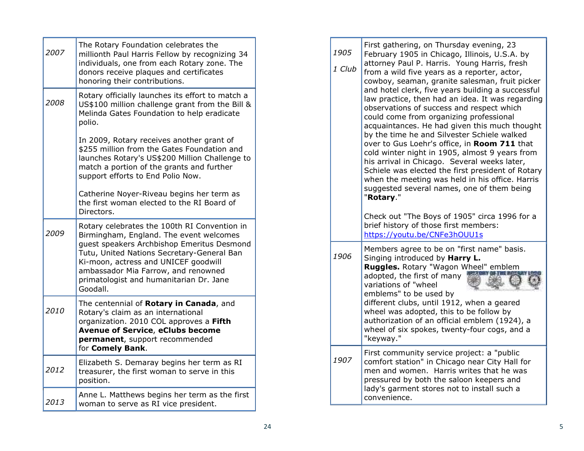| 2007 | The Rotary Foundation celebrates the<br>millionth Paul Harris Fellow by recognizing 34<br>individuals, one from each Rotary zone. The<br>donors receive plaques and certificates<br>honoring their contributions.                                                                                                                                                                                                                        | 1905<br>1 Club | First gathering, on Thursday evening, 23<br>February 1905 in Chicago, Illinois, U.S.A. by<br>attorney Paul P. Harris. Young Harris, fresh<br>from a wild five years as a reporter, actor,<br>cowboy, seaman, granite salesman, fruit picker<br>and hotel clerk, five years building a successful                                                                                                                                                                                                                                                              |
|------|------------------------------------------------------------------------------------------------------------------------------------------------------------------------------------------------------------------------------------------------------------------------------------------------------------------------------------------------------------------------------------------------------------------------------------------|----------------|---------------------------------------------------------------------------------------------------------------------------------------------------------------------------------------------------------------------------------------------------------------------------------------------------------------------------------------------------------------------------------------------------------------------------------------------------------------------------------------------------------------------------------------------------------------|
| 2008 | Rotary officially launches its effort to match a<br>US\$100 million challenge grant from the Bill &<br>Melinda Gates Foundation to help eradicate<br>polio.<br>In 2009, Rotary receives another grant of<br>\$255 million from the Gates Foundation and<br>launches Rotary's US\$200 Million Challenge to<br>match a portion of the grants and further<br>support efforts to End Polio Now.<br>Catherine Noyer-Riveau begins her term as |                | law practice, then had an idea. It was regarding<br>observations of success and respect which<br>could come from organizing professional<br>acquaintances. He had given this much thought<br>by the time he and Silvester Schiele walked<br>over to Gus Loehr's office, in Room 711 that<br>cold winter night in 1905, almost 9 years from<br>his arrival in Chicago. Several weeks later,<br>Schiele was elected the first president of Rotary<br>when the meeting was held in his office. Harris<br>suggested several names, one of them being<br>"Rotary." |
| 2009 | the first woman elected to the RI Board of<br>Directors.<br>Rotary celebrates the 100th RI Convention in<br>Birmingham, England. The event welcomes                                                                                                                                                                                                                                                                                      |                | Check out "The Boys of 1905" circa 1996 for a<br>brief history of those first members:<br>https://youtu.be/CNFe3hOUU1s                                                                                                                                                                                                                                                                                                                                                                                                                                        |
|      | guest speakers Archbishop Emeritus Desmond<br>Tutu, United Nations Secretary-General Ban<br>Ki-moon, actress and UNICEF goodwill<br>ambassador Mia Farrow, and renowned<br>primatologist and humanitarian Dr. Jane<br>Goodall.                                                                                                                                                                                                           | 1906           | Members agree to be on "first name" basis.<br>Singing introduced by Harry L.<br>Ruggles. Rotary "Wagon Wheel" emblem<br>adopted, the first of many<br>variations of "wheel<br>emblems" to be used by                                                                                                                                                                                                                                                                                                                                                          |
| 2010 | The centennial of Rotary in Canada, and<br>Rotary's claim as an international<br>organization. 2010 COL approves a Fifth<br><b>Avenue of Service, eClubs become</b><br>permanent, support recommended                                                                                                                                                                                                                                    |                | different clubs, until 1912, when a geared<br>wheel was adopted, this to be follow by<br>authorization of an official emblem (1924), a<br>wheel of six spokes, twenty-four cogs, and a<br>"keyway."                                                                                                                                                                                                                                                                                                                                                           |
| 2012 | for Comely Bank.<br>Elizabeth S. Demaray begins her term as RI<br>treasurer, the first woman to serve in this<br>position.                                                                                                                                                                                                                                                                                                               | 1907           | First community service project: a "public<br>comfort station" in Chicago near City Hall for<br>men and women. Harris writes that he was<br>pressured by both the saloon keepers and                                                                                                                                                                                                                                                                                                                                                                          |
| 2013 | Anne L. Matthews begins her term as the first<br>woman to serve as RI vice president.                                                                                                                                                                                                                                                                                                                                                    |                | lady's garment stores not to install such a<br>convenience.                                                                                                                                                                                                                                                                                                                                                                                                                                                                                                   |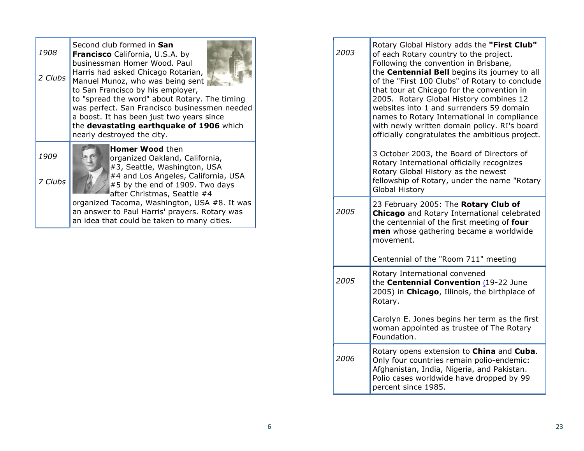| 1908<br>2 Clubs | Second club formed in San<br>Francisco California, U.S.A. by<br>businessman Homer Wood. Paul<br>Harris had asked Chicago Rotarian,<br>Manuel Munoz, who was being sent<br>to San Francisco by his employer,<br>to "spread the word" about Rotary. The timing<br>was perfect. San Francisco businessmen needed<br>a boost. It has been just two years since<br>the devastating earthquake of 1906 which<br>nearly destroyed the city. | 2003 | Rotary Global History adds the "First Club"<br>of each Rotary country to the project.<br>Following the convention in Brisbane,<br>the Centennial Bell begins its journey to all<br>of the "First 100 Clubs" of Rotary to conclude<br>that tour at Chicago for the convention in<br>2005. Rotary Global History combines 12<br>websites into 1 and surrenders 59 domain<br>names to Rotary International in compliance<br>with newly written domain policy. RI's board<br>officially congratulates the ambitious project. |
|-----------------|--------------------------------------------------------------------------------------------------------------------------------------------------------------------------------------------------------------------------------------------------------------------------------------------------------------------------------------------------------------------------------------------------------------------------------------|------|--------------------------------------------------------------------------------------------------------------------------------------------------------------------------------------------------------------------------------------------------------------------------------------------------------------------------------------------------------------------------------------------------------------------------------------------------------------------------------------------------------------------------|
| 1909<br>7 Clubs | <b>Homer Wood then</b><br>organized Oakland, California,<br>#3, Seattle, Washington, USA<br>#4 and Los Angeles, California, USA<br>$\#$ 5 by the end of 1909. Two days<br>after Christmas, Seattle #4                                                                                                                                                                                                                                |      | 3 October 2003, the Board of Directors of<br>Rotary International officially recognizes<br>Rotary Global History as the newest<br>fellowship of Rotary, under the name "Rotary<br>Global History                                                                                                                                                                                                                                                                                                                         |
|                 | organized Tacoma, Washington, USA #8. It was<br>an answer to Paul Harris' prayers. Rotary was<br>an idea that could be taken to many cities.                                                                                                                                                                                                                                                                                         | 2005 | 23 February 2005: The Rotary Club of<br>Chicago and Rotary International celebrated<br>the centennial of the first meeting of four<br>men whose gathering became a worldwide<br>movement.<br>Centennial of the "Room 711" meeting                                                                                                                                                                                                                                                                                        |
|                 |                                                                                                                                                                                                                                                                                                                                                                                                                                      |      | Rotary International convened                                                                                                                                                                                                                                                                                                                                                                                                                                                                                            |

| 2006 | Rotary opens extension to <b>China</b> and <b>Cuba</b> .<br>Only four countries remain polio-endemic:<br>Afghanistan, India, Nigeria, and Pakistan.<br>Polio cases worldwide have dropped by 99<br>percent since 1985. |
|------|------------------------------------------------------------------------------------------------------------------------------------------------------------------------------------------------------------------------|
|      |                                                                                                                                                                                                                        |

Rotary.

Foundation.

the Centennial Convention (19-22 June 2005) in Chicago, Illinois, the birthplace of

Carolyn E. Jones begins her term as the first woman appointed as trustee of The Rotary

2005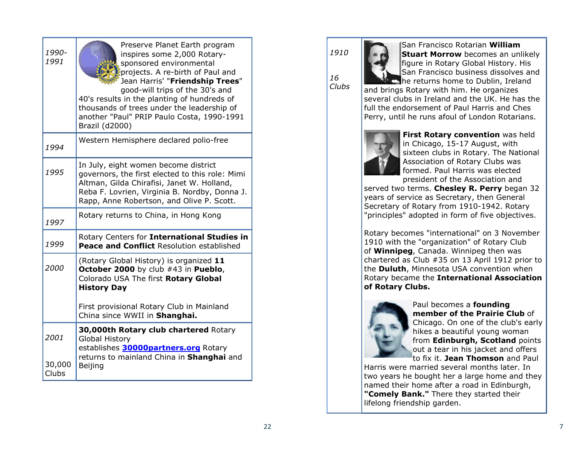| 1990-<br>1991           | Preserve Planet Earth program<br>inspires some 2,000 Rotary-<br>sponsored environmental<br>projects. A re-birth of Paul and<br>Jean Harris' "Friendship Trees"<br>good-will trips of the 30's and<br>40's results in the planting of hundreds of<br>thousands of trees under the leadership of<br>another "Paul" PRIP Paulo Costa, 1990-1991<br>Brazil (d2000) |  |
|-------------------------|----------------------------------------------------------------------------------------------------------------------------------------------------------------------------------------------------------------------------------------------------------------------------------------------------------------------------------------------------------------|--|
| 1994                    | Western Hemisphere declared polio-free                                                                                                                                                                                                                                                                                                                         |  |
| 1995                    | In July, eight women become district<br>governors, the first elected to this role: Mimi<br>Altman, Gilda Chirafisi, Janet W. Holland,<br>Reba F. Lovrien, Virginia B. Nordby, Donna J.<br>Rapp, Anne Robertson, and Olive P. Scott.                                                                                                                            |  |
| 1997                    | Rotary returns to China, in Hong Kong                                                                                                                                                                                                                                                                                                                          |  |
| 1999                    | Rotary Centers for International Studies in<br>Peace and Conflict Resolution established                                                                                                                                                                                                                                                                       |  |
| 2000                    | (Rotary Global History) is organized 11<br>October 2000 by club #43 in Pueblo,<br>Colorado USA The first Rotary Global<br><b>History Day</b><br>First provisional Rotary Club in Mainland                                                                                                                                                                      |  |
|                         | China since WWII in Shanghai.<br>30,000th Rotary club chartered Rotary                                                                                                                                                                                                                                                                                         |  |
| 2001<br>30,000<br>Clubs | <b>Global History</b><br>establishes 30000partners.org Rotary<br>returns to mainland China in Shanghai and<br>Beijing                                                                                                                                                                                                                                          |  |

1910

16 Clubs

San Francisco Rotarian William **Stuart Morrow** becomes an unlikely figure in Rotary Global History. His San Francisco business dissolves and he returns home to Dublin, Ireland

and brings Rotary with him. He organizes several clubs in Ireland and the UK. He has the full the endorsement of Paul Harris and Ches Perry, until he runs afoul of London Rotarians.



First Rotary convention was held in Chicago, 15-17 August, with sixteen clubs in Rotary. The National Association of Rotary Clubs was formed. Paul Harris was elected president of the Association and

served two terms. Chesley R. Perry began 32 years of service as Secretary, then General Secretary of Rotary from 1910-1942. Rotary "principles" adopted in form of five objectives.

Rotary becomes "international" on 3 November 1910 with the "organization" of Rotary Club of **Winnipeg**, Canada. Winnipeg then was chartered as Club #35 on 13 April 1912 prior to the **Duluth**, Minnesota USA convention when Rotary became the International Association of Rotary Clubs.



Paul becomes a founding member of the Prairie Club of Chicago. On one of the club's early hikes a beautiful young woman from Edinburgh, Scotland points out a tear in his jacket and offers to fix it. Jean Thomson and Paul

Harris were married several months later. In two years he bought her a large home and they named their home after a road in Edinburgh, "Comely Bank." There they started their lifelong friendship garden.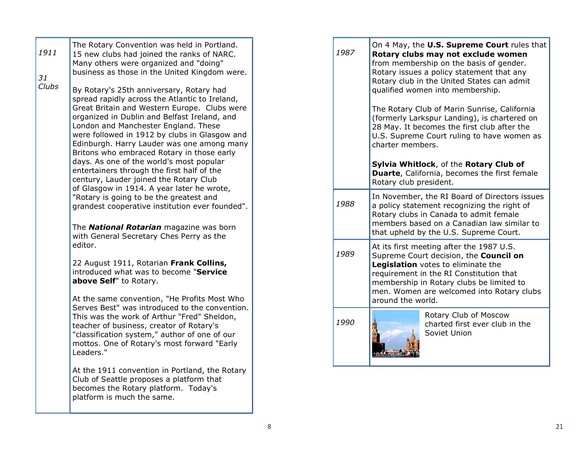| 1911<br>31<br>Clubs | The Rotary Convention was held in Portland.<br>15 new clubs had joined the ranks of NARC.<br>Many others were organized and "doing"<br>business as those in the United Kingdom were.<br>By Rotary's 25th anniversary, Rotary had<br>spread rapidly across the Atlantic to Ireland,<br>Great Britain and Western Europe. Clubs were<br>organized in Dublin and Belfast Ireland, and<br>London and Manchester England. These<br>were followed in 1912 by clubs in Glasgow and<br>Edinburgh. Harry Lauder was one among many<br>Britons who embraced Rotary in those early                                |  | 1987 | On 4 May, the U.S. Supreme Court rules that<br>Rotary clubs may not exclude women<br>from membership on the basis of gender.<br>Rotary issues a policy statement that any<br>Rotary club in the United States can admit<br>qualified women into membership.<br>The Rotary Club of Marin Sunrise, California<br>(formerly Larkspur Landing), is chartered on<br>28 May. It becomes the first club after the<br>U.S. Supreme Court ruling to have women as<br>charter members. |
|---------------------|--------------------------------------------------------------------------------------------------------------------------------------------------------------------------------------------------------------------------------------------------------------------------------------------------------------------------------------------------------------------------------------------------------------------------------------------------------------------------------------------------------------------------------------------------------------------------------------------------------|--|------|------------------------------------------------------------------------------------------------------------------------------------------------------------------------------------------------------------------------------------------------------------------------------------------------------------------------------------------------------------------------------------------------------------------------------------------------------------------------------|
|                     | days. As one of the world's most popular<br>entertainers through the first half of the<br>century, Lauder joined the Rotary Club<br>of Glasgow in 1914. A year later he wrote,<br>"Rotary is going to be the greatest and<br>grandest cooperative institution ever founded".<br>The <b>National Rotarian</b> magazine was born<br>with General Secretary Ches Perry as the<br>editor.<br>22 August 1911, Rotarian Frank Collins,<br>introduced what was to become "Service<br>above Self" to Rotary.<br>At the same convention, "He Profits Most Who<br>Serves Best" was introduced to the convention. |  |      | Sylvia Whitlock, of the Rotary Club of<br>Duarte, California, becomes the first female<br>Rotary club president.                                                                                                                                                                                                                                                                                                                                                             |
|                     |                                                                                                                                                                                                                                                                                                                                                                                                                                                                                                                                                                                                        |  | 1988 | In November, the RI Board of Directors issues<br>a policy statement recognizing the right of<br>Rotary clubs in Canada to admit female<br>members based on a Canadian law similar to<br>that upheld by the U.S. Supreme Court.                                                                                                                                                                                                                                               |
|                     |                                                                                                                                                                                                                                                                                                                                                                                                                                                                                                                                                                                                        |  | 1989 | At its first meeting after the 1987 U.S.<br>Supreme Court decision, the Council on<br>Legislation votes to eliminate the<br>requirement in the RI Constitution that<br>membership in Rotary clubs be limited to<br>men. Women are welcomed into Rotary clubs<br>around the world.                                                                                                                                                                                            |
|                     | This was the work of Arthur "Fred" Sheldon,<br>teacher of business, creator of Rotary's<br>"classification system," author of one of our<br>mottos. One of Rotary's most forward "Early<br>Leaders."                                                                                                                                                                                                                                                                                                                                                                                                   |  | 1990 | Rotary Club of Moscow<br>charted first ever club in the<br>Soviet Union                                                                                                                                                                                                                                                                                                                                                                                                      |
|                     | At the 1911 convention in Portland, the Rotary<br>Club of Seattle proposes a platform that<br>becomes the Rotary platform. Today's<br>platform is much the same.                                                                                                                                                                                                                                                                                                                                                                                                                                       |  |      |                                                                                                                                                                                                                                                                                                                                                                                                                                                                              |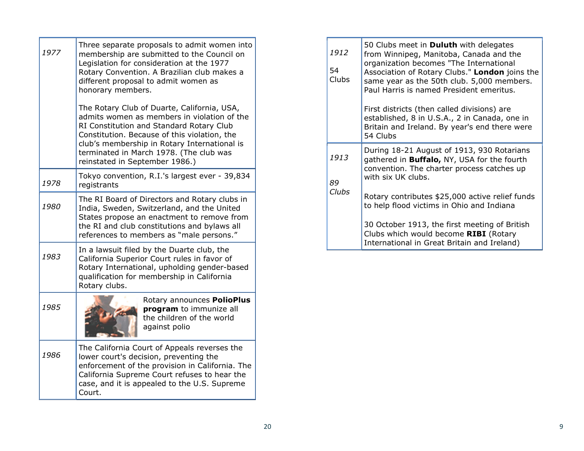| 1977 | Three separate proposals to admit women into<br>membership are submitted to the Council on<br>Legislation for consideration at the 1977<br>Rotary Convention. A Brazilian club makes a<br>different proposal to admit women as<br>honorary members.                                                                 |
|------|---------------------------------------------------------------------------------------------------------------------------------------------------------------------------------------------------------------------------------------------------------------------------------------------------------------------|
|      | The Rotary Club of Duarte, California, USA,<br>admits women as members in violation of the<br>RI Constitution and Standard Rotary Club<br>Constitution. Because of this violation, the<br>club's membership in Rotary International is<br>terminated in March 1978. (The club was<br>reinstated in September 1986.) |
| 1978 | Tokyo convention, R.I.'s largest ever - 39,834<br>registrants                                                                                                                                                                                                                                                       |
| 1980 | The RI Board of Directors and Rotary clubs in<br>India, Sweden, Switzerland, and the United<br>States propose an enactment to remove from<br>the RI and club constitutions and bylaws all<br>references to members as "male persons."                                                                               |
| 1983 | In a lawsuit filed by the Duarte club, the<br>California Superior Court rules in favor of<br>Rotary International, upholding gender-based<br>qualification for membership in California<br>Rotary clubs.                                                                                                            |
| 1985 | Rotary announces PolioPlus<br>program to immunize all<br>the children of the world<br>against polio                                                                                                                                                                                                                 |
| 1986 | The California Court of Appeals reverses the<br>lower court's decision, preventing the<br>enforcement of the provision in California. The<br>California Supreme Court refuses to hear the<br>case, and it is appealed to the U.S. Supreme<br>Court.                                                                 |

| 1912<br>54<br><b>Clubs</b> | 50 Clubs meet in <b>Duluth</b> with delegates<br>from Winnipeg, Manitoba, Canada and the<br>organization becomes "The International<br>Association of Rotary Clubs." London joins the<br>same year as the 50th club. 5,000 members.<br>Paul Harris is named President emeritus. |
|----------------------------|---------------------------------------------------------------------------------------------------------------------------------------------------------------------------------------------------------------------------------------------------------------------------------|
|                            | First districts (then called divisions) are<br>established, 8 in U.S.A., 2 in Canada, one in<br>Britain and Ireland. By year's end there were<br>54 Clubs                                                                                                                       |
| 1913<br>89                 | During 18-21 August of 1913, 930 Rotarians<br>gathered in <b>Buffalo, NY, USA for the fourth</b><br>convention. The charter process catches up<br>with six UK clubs.                                                                                                            |
| Clubs                      | Rotary contributes \$25,000 active relief funds<br>to help flood victims in Ohio and Indiana                                                                                                                                                                                    |
|                            | 30 October 1913, the first meeting of British<br>Clubs which would become RIBI (Rotary<br>International in Great Britain and Ireland)                                                                                                                                           |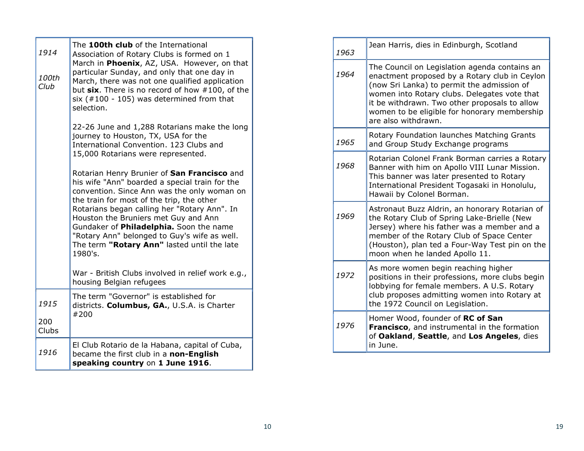| 1914<br>100th<br>Club | The 100th club of the International<br>Association of Rotary Clubs is formed on 1<br>March in Phoenix, AZ, USA. However, on that<br>particular Sunday, and only that one day in<br>March, there was not one qualified application<br>but six. There is no record of how #100, of the<br>six $(*100 - 105)$ was determined from that<br>selection.                                                                                      |
|-----------------------|----------------------------------------------------------------------------------------------------------------------------------------------------------------------------------------------------------------------------------------------------------------------------------------------------------------------------------------------------------------------------------------------------------------------------------------|
|                       | 22-26 June and 1,288 Rotarians make the long<br>journey to Houston, TX, USA for the<br>International Convention, 123 Clubs and<br>15,000 Rotarians were represented.                                                                                                                                                                                                                                                                   |
|                       | Rotarian Henry Brunier of San Francisco and<br>his wife "Ann" boarded a special train for the<br>convention. Since Ann was the only woman on<br>the train for most of the trip, the other<br>Rotarians began calling her "Rotary Ann". In<br>Houston the Bruniers met Guy and Ann<br>Gundaker of Philadelphia. Soon the name<br>"Rotary Ann" belonged to Guy's wife as well.<br>The term "Rotary Ann" lasted until the late<br>1980's. |
|                       | War - British Clubs involved in relief work e.g.,<br>housing Belgian refugees                                                                                                                                                                                                                                                                                                                                                          |
| 1915<br>200           | The term "Governor" is established for<br>districts. Columbus, GA., U.S.A. is Charter<br>#200                                                                                                                                                                                                                                                                                                                                          |
| Clubs                 |                                                                                                                                                                                                                                                                                                                                                                                                                                        |
| 1916                  | El Club Rotario de la Habana, capital of Cuba,<br>became the first club in a non-English<br>speaking country on 1 June 1916.                                                                                                                                                                                                                                                                                                           |

| 1963 | Jean Harris, dies in Edinburgh, Scotland                                                                                                                                                                                                                                                                             |
|------|----------------------------------------------------------------------------------------------------------------------------------------------------------------------------------------------------------------------------------------------------------------------------------------------------------------------|
| 1964 | The Council on Legislation agenda contains an<br>enactment proposed by a Rotary club in Ceylon<br>(now Sri Lanka) to permit the admission of<br>women into Rotary clubs. Delegates vote that<br>it be withdrawn. Two other proposals to allow<br>women to be eligible for honorary membership<br>are also withdrawn. |
| 1965 | Rotary Foundation launches Matching Grants<br>and Group Study Exchange programs                                                                                                                                                                                                                                      |
| 1968 | Rotarian Colonel Frank Borman carries a Rotary<br>Banner with him on Apollo VIII Lunar Mission.<br>This banner was later presented to Rotary<br>International President Togasaki in Honolulu,<br>Hawaii by Colonel Borman.                                                                                           |
| 1969 | Astronaut Buzz Aldrin, an honorary Rotarian of<br>the Rotary Club of Spring Lake-Brielle (New<br>Jersey) where his father was a member and a<br>member of the Rotary Club of Space Center<br>(Houston), plan ted a Four-Way Test pin on the<br>moon when he landed Apollo 11.                                        |
| 1972 | As more women begin reaching higher<br>positions in their professions, more clubs begin<br>lobbying for female members. A U.S. Rotary<br>club proposes admitting women into Rotary at<br>the 1972 Council on Legislation.                                                                                            |
| 1976 | Homer Wood, founder of RC of San<br>Francisco, and instrumental in the formation<br>of Oakland, Seattle, and Los Angeles, dies<br>in June.                                                                                                                                                                           |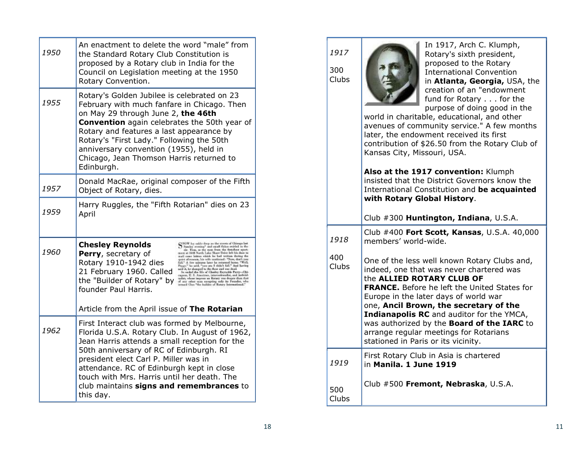| 1950 | An enactment to delete the word "male" from<br>the Standard Rotary Club Constitution is<br>proposed by a Rotary club in India for the<br>Council on Legislation meeting at the 1950<br>Rotary Convention.                                                                                                                                                                                                                                                                                                                                                                                                                                                        |  |
|------|------------------------------------------------------------------------------------------------------------------------------------------------------------------------------------------------------------------------------------------------------------------------------------------------------------------------------------------------------------------------------------------------------------------------------------------------------------------------------------------------------------------------------------------------------------------------------------------------------------------------------------------------------------------|--|
| 1955 | Rotary's Golden Jubilee is celebrated on 23<br>February with much fanfare in Chicago. Then<br>on May 29 through June 2, the 46th<br><b>Convention</b> again celebrates the 50th year of<br>Rotary and features a last appearance by<br>Rotary's "First Lady." Following the 50th<br>anniversary convention (1955), held in<br>Chicago, Jean Thomson Harris returned to<br>Edinburgh.                                                                                                                                                                                                                                                                             |  |
| 1957 | Donald MacRae, original composer of the Fifth<br>Object of Rotary, dies.                                                                                                                                                                                                                                                                                                                                                                                                                                                                                                                                                                                         |  |
| 1959 | Harry Ruggles, the "Fifth Rotarian" dies on 23<br>April                                                                                                                                                                                                                                                                                                                                                                                                                                                                                                                                                                                                          |  |
| 1960 | $\sum_{i=1}^{NLOW}$ by orbits deep as the stress of Galaxys last and the second star. Thus, as the mass from the first-deep spatial and the space spatial and the South Labo Share below the first diabase is small case below the<br><b>Chesley Reynolds</b><br>Perry, secretary of<br>Rotary 1910-1942 dies<br>quark after<br>some line with cancelested boxes. Well you define the contrast lower be contrasted boxes. Well be<br>$\frac{1}{2}$ in a solid of the contrast of the contrast of the state<br>$\frac{1}{2}$ and $\frac{1}{2}$ and $\frac{1}{2}$ and<br>$\frac$<br>21 February 1960. Called<br>the "Builder of Rotary" by<br>founder Paul Harris. |  |
|      | Article from the April issue of The Rotarian                                                                                                                                                                                                                                                                                                                                                                                                                                                                                                                                                                                                                     |  |
| 1962 | First Interact club was formed by Melbourne,<br>Florida U.S.A. Rotary Club. In August of 1962,<br>Jean Harris attends a small reception for the<br>50th anniversary of RC of Edinburgh. RI<br>president elect Carl P. Miller was in<br>attendance. RC of Edinburgh kept in close<br>touch with Mrs. Harris until her death. The<br>club maintains signs and remembrances to<br>this day.                                                                                                                                                                                                                                                                         |  |

## 1917

300 Clubs

Clubs



In 1917, Arch C. Klumph, Rotary's sixth president, proposed to the Rotary International Convention in Atlanta, Georgia, USA, the creation of an "endowment fund for Rotary . . . for the purpose of doing good in the

world in charitable, educational, and other avenues of community service." A few months later, the endowment received its first contribution of \$26.50 from the Rotary Club of Kansas City, Missouri, USA.

| Also at the 1917 convention: Klumph<br>insisted that the District Governors know the<br>International Constitution and be acquainted<br>with Rotary Global History. |
|---------------------------------------------------------------------------------------------------------------------------------------------------------------------|
| Club #300 Huntington, Indiana, U.S.A.                                                                                                                               |
|                                                                                                                                                                     |

| 1918 | Club $#400$ Fort Scott, Kansas, U.S.A. $40,000$<br>members' world-wide. |
|------|-------------------------------------------------------------------------|
| 400  | One of the less well known Rotary Clubs and                             |

| Clubs | <u>UITE UI LITE IESS WEIL NIJUWII INULGI Y CIUDS UITU,</u><br>indeed, one that was never chartered was<br>the <b>ALLIED ROTARY CLUB OF</b><br><b>FRANCE.</b> Before he left the United States for<br>Europe in the later days of world war<br>one, Ancil Brown, the secretary of the<br>Indianapolis RC and auditor for the YMCA,<br>was authorized by the <b>Board of the IARC</b> to<br>arrange regular meetings for Rotarians<br>stationed in Paris or its vicinity. |  |  |
|-------|-------------------------------------------------------------------------------------------------------------------------------------------------------------------------------------------------------------------------------------------------------------------------------------------------------------------------------------------------------------------------------------------------------------------------------------------------------------------------|--|--|
| 1919  | First Rotary Club in Asia is chartered<br>in Manila. 1 June 1919                                                                                                                                                                                                                                                                                                                                                                                                        |  |  |
| 500   | Club #500 Fremont, Nebraska, U.S.A.                                                                                                                                                                                                                                                                                                                                                                                                                                     |  |  |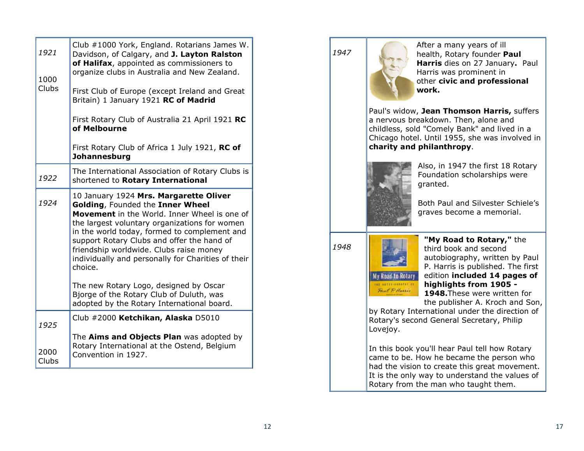| 1921<br>1000                                                                                                                                                                                                                                                                                                                                                                                  | Club #1000 York, England. Rotarians James W.<br>Davidson, of Calgary, and J. Layton Ralston<br>of Halifax, appointed as commissioners to<br>organize clubs in Australia and New Zealand. |  |  |  |
|-----------------------------------------------------------------------------------------------------------------------------------------------------------------------------------------------------------------------------------------------------------------------------------------------------------------------------------------------------------------------------------------------|------------------------------------------------------------------------------------------------------------------------------------------------------------------------------------------|--|--|--|
| <b>Clubs</b>                                                                                                                                                                                                                                                                                                                                                                                  | First Club of Europe (except Ireland and Great<br>Britain) 1 January 1921 RC of Madrid                                                                                                   |  |  |  |
|                                                                                                                                                                                                                                                                                                                                                                                               | First Rotary Club of Australia 21 April 1921 RC<br>of Melbourne                                                                                                                          |  |  |  |
|                                                                                                                                                                                                                                                                                                                                                                                               | First Rotary Club of Africa 1 July 1921, RC of<br><b>Johannesburg</b>                                                                                                                    |  |  |  |
| 1922                                                                                                                                                                                                                                                                                                                                                                                          | The International Association of Rotary Clubs is<br>shortened to Rotary International                                                                                                    |  |  |  |
| 10 January 1924 Mrs. Margarette Oliver<br>1924<br>Golding, Founded the Inner Wheel<br>Movement in the World. Inner Wheel is one of<br>the largest voluntary organizations for women<br>in the world today, formed to complement and<br>support Rotary Clubs and offer the hand of<br>friendship worldwide. Clubs raise money<br>individually and personally for Charities of their<br>choice. |                                                                                                                                                                                          |  |  |  |
|                                                                                                                                                                                                                                                                                                                                                                                               | The new Rotary Logo, designed by Oscar<br>Bjorge of the Rotary Club of Duluth, was<br>adopted by the Rotary International board.                                                         |  |  |  |
| 1925                                                                                                                                                                                                                                                                                                                                                                                          | Club #2000 Ketchikan, Alaska D5010                                                                                                                                                       |  |  |  |
| 2000                                                                                                                                                                                                                                                                                                                                                                                          | The Aims and Objects Plan was adopted by<br>Rotary International at the Ostend, Belgium<br>Convention in 1927.                                                                           |  |  |  |

1947

After a many years of ill health, Rotary founder Paul Harris dies on 27 January. Paul Harris was prominent in other civic and professional work.

Paul's widow, Jean Thomson Harris, suffers a nervous breakdown. Then, alone and childless, sold "Comely Bank" and lived in a Chicago hotel. Until 1955, she was involved in charity and philanthropy.



Also, in 1947 the first 18 Rotary Foundation scholarships were granted.

Both Paul and Silvester Schiele's graves become a memorial.

1948



"My Road to Rotary," the third book and second autobiography, written by Paul P. Harris is published. The first edition included 14 pages of highlights from 1905 -

1948. These were written for the publisher A. Kroch and Son,

by Rotary International under the direction of Rotary's second General Secretary, Philip Lovejoy.

In this book you'll hear Paul tell how Rotary came to be. How he became the person who had the vision to create this great movement. It is the only way to understand the values of Rotary from the man who taught them.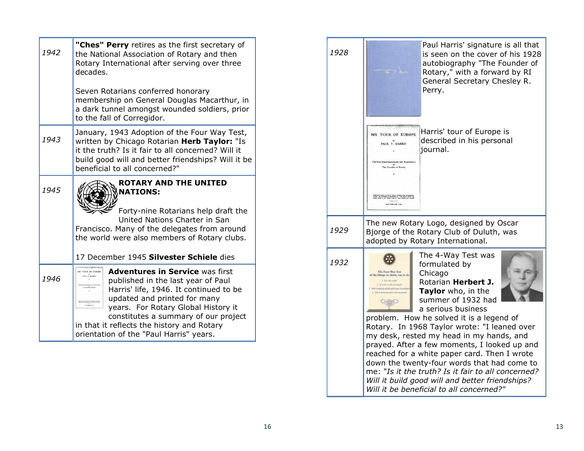| 1942 | "Ches" Perry retires as the first secretary of<br>the National Association of Rotary and then<br>Rotary International after serving over three<br>decades.<br>Seven Rotarians conferred honorary<br>membership on General Douglas Macarthur, in<br>a dark tunnel amongst wounded soldiers, prior<br>to the fall of Corregidor.                                                                                                                                                                                                                                                                                                                                                                                                                                                                                                          | 1928 | Paul Harris' signature is all that<br>is seen on the cover of his 1928<br>autobiography "The Founder of<br>Rotary," with a forward by RI<br>General Secretary Chesley R.<br>Perry.                                                                                                                                                                                                                                                                                                                                    |
|------|-----------------------------------------------------------------------------------------------------------------------------------------------------------------------------------------------------------------------------------------------------------------------------------------------------------------------------------------------------------------------------------------------------------------------------------------------------------------------------------------------------------------------------------------------------------------------------------------------------------------------------------------------------------------------------------------------------------------------------------------------------------------------------------------------------------------------------------------|------|-----------------------------------------------------------------------------------------------------------------------------------------------------------------------------------------------------------------------------------------------------------------------------------------------------------------------------------------------------------------------------------------------------------------------------------------------------------------------------------------------------------------------|
| 1943 | January, 1943 Adoption of the Four Way Test,<br>written by Chicago Rotarian Herb Taylor: "Is<br>it the truth? Is it fair to all concerned? Will it<br>build good will and better friendships? Will it be<br>beneficial to all concerned?"                                                                                                                                                                                                                                                                                                                                                                                                                                                                                                                                                                                               |      | Harris' tour of Europe is<br><b>MY TOUR OF EUROPI</b><br>described in his personal<br>$P_A$ UL P. HARRIS<br>journal.<br>The First Hand Impressions and Exp<br>The Founder of Rotors                                                                                                                                                                                                                                                                                                                                   |
| 1945 | <b>ROTARY AND THE UNITED</b><br><b>NATIONS:</b><br>Forty-nine Rotarians help draft the                                                                                                                                                                                                                                                                                                                                                                                                                                                                                                                                                                                                                                                                                                                                                  |      | NOVEMBER, 1820                                                                                                                                                                                                                                                                                                                                                                                                                                                                                                        |
|      | United Nations Charter in San<br>Francisco. Many of the delegates from around<br>the world were also members of Rotary clubs.                                                                                                                                                                                                                                                                                                                                                                                                                                                                                                                                                                                                                                                                                                           | 1929 | The new Rotary Logo, designed by Oscar<br>Bjorge of the Rotary Club of Duluth, was<br>adopted by Rotary International.                                                                                                                                                                                                                                                                                                                                                                                                |
|      | 17 December 1945 Silvester Schiele dies                                                                                                                                                                                                                                                                                                                                                                                                                                                                                                                                                                                                                                                                                                                                                                                                 | 1932 | The 4-Way Test was                                                                                                                                                                                                                                                                                                                                                                                                                                                                                                    |
| 1946 | <b>Adventures in Service was first</b><br>MY TOUR OF EUROPE<br>PAUL P. HARRIS<br>published in the last year of Paul<br>The Fourier of Reney<br>Harris' life, 1946. It continued to be<br>updated and printed for many<br>$\begin{minipage}{0.9\linewidth} \begin{tabular}{ c c } \hline \textbf{D} & \textbf{D} & \textbf{D} & \textbf{D} & \textbf{D} & \textbf{D} & \textbf{D} & \textbf{D} & \textbf{D} & \textbf{D} & \textbf{D} & \textbf{D} & \textbf{D} & \textbf{D} & \textbf{D} & \textbf{D} & \textbf{D} & \textbf{D} & \textbf{D} & \textbf{D} & \textbf{D} & \textbf{D} & \textbf{D} & \textbf{D} & \textbf{D} & \textbf{D} & \textbf{D} & \textbf$<br>years. For Rotary Global History it<br>constitutes a summary of our project<br>in that it reflects the history and Rotary<br>orientation of the "Paul Harris" years. |      | formulated by<br>The Pour-Way Test<br>Chicago<br>of the things we think, say or do<br><b>L'EDISOPAU</b><br>Rotarian Herbert J.<br>2. Kicken is all consumed."<br>With a field interland and former formulab<br>Taylor who, in the<br>summer of 1932 had<br>a serious business<br>problem. How he solved it is a legend of<br>Rotary. In 1968 Taylor wrote: "I leaned over<br>my desk, rested my head in my hands, and<br>prayed. After a few moments, I looked up and<br>reached for a white paper card. Then I wrote |
|      |                                                                                                                                                                                                                                                                                                                                                                                                                                                                                                                                                                                                                                                                                                                                                                                                                                         |      | down the twenty-four words that had come to                                                                                                                                                                                                                                                                                                                                                                                                                                                                           |

cretary Chesley R. of Europe is his personal igned by Oscar of Duluth, was ational. Test was by rbert J.  $\overline{\phantom{a}}$  in the  $1932$  had **usiness** it is a legend of rote: "I leaned over in my hands, and nts, I looked up and card. Then I wrote ds that had come to me: "Is it the truth? Is it fair to all concerned? Will it build good will and better friendships? Will it be beneficial to all concerned?"